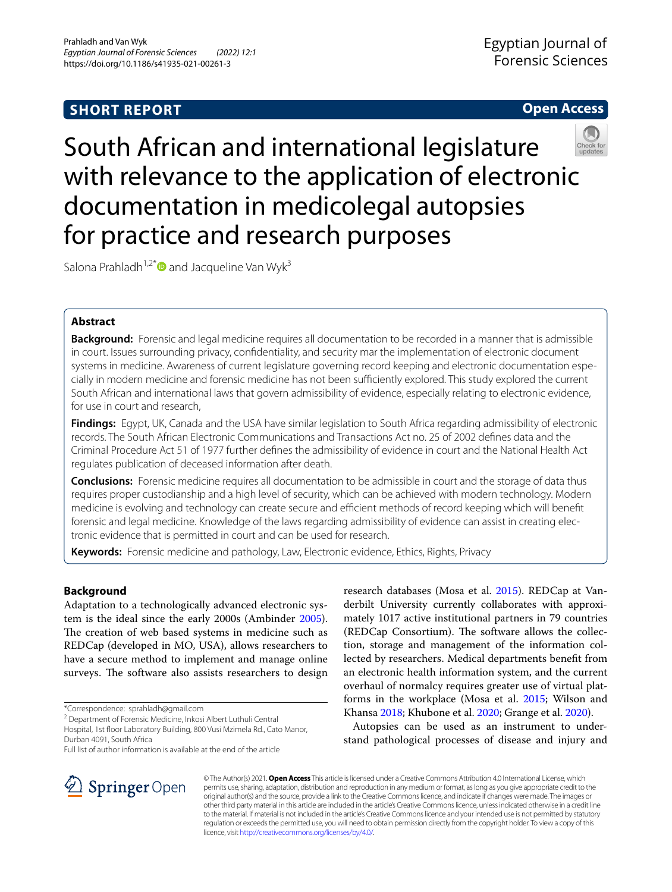# **SHORT REPORT**

## **Open Access**



South African and international legislature with relevance to the application of electronic documentation in medicolegal autopsies for practice and research purposes

Salona Prahladh<sup>1,2[\\*](http://orcid.org/0000-0001-7595-6398)</sup> and Jacqueline Van Wyk<sup>3</sup>

## **Abstract**

**Background:** Forensic and legal medicine requires all documentation to be recorded in a manner that is admissible in court. Issues surrounding privacy, confdentiality, and security mar the implementation of electronic document systems in medicine. Awareness of current legislature governing record keeping and electronic documentation especially in modern medicine and forensic medicine has not been sufficiently explored. This study explored the current South African and international laws that govern admissibility of evidence, especially relating to electronic evidence, for use in court and research,

**Findings:** Egypt, UK, Canada and the USA have similar legislation to South Africa regarding admissibility of electronic records. The South African Electronic Communications and Transactions Act no. 25 of 2002 defnes data and the Criminal Procedure Act 51 of 1977 further defnes the admissibility of evidence in court and the National Health Act regulates publication of deceased information after death.

**Conclusions:** Forensic medicine requires all documentation to be admissible in court and the storage of data thus requires proper custodianship and a high level of security, which can be achieved with modern technology. Modern medicine is evolving and technology can create secure and efficient methods of record keeping which will benefit forensic and legal medicine. Knowledge of the laws regarding admissibility of evidence can assist in creating electronic evidence that is permitted in court and can be used for research.

**Keywords:** Forensic medicine and pathology, Law, Electronic evidence, Ethics, Rights, Privacy

## **Background**

Adaptation to a technologically advanced electronic system is the ideal since the early 2000s (Ambinder [2005](#page-5-0)). The creation of web based systems in medicine such as REDCap (developed in MO, USA), allows researchers to have a secure method to implement and manage online surveys. The software also assists researchers to design

\*Correspondence: sprahladh@gmail.com

<sup>2</sup> Department of Forensic Medicine, Inkosi Albert Luthuli Central

Hospital, 1st foor Laboratory Building, 800 Vusi Mzimela Rd., Cato Manor, Durban 4091, South Africa

Full list of author information is available at the end of the article

research databases (Mosa et al. [2015](#page-6-0)). REDCap at Vanderbilt University currently collaborates with approximately 1017 active institutional partners in 79 countries (REDCap Consortium). The software allows the collection, storage and management of the information collected by researchers. Medical departments beneft from an electronic health information system, and the current overhaul of normalcy requires greater use of virtual platforms in the workplace (Mosa et al. [2015;](#page-6-0) Wilson and Khansa [2018;](#page-6-1) Khubone et al. [2020;](#page-6-2) Grange et al. [2020\)](#page-5-1).

Autopsies can be used as an instrument to understand pathological processes of disease and injury and



© The Author(s) 2021. **Open Access** This article is licensed under a Creative Commons Attribution 4.0 International License, which permits use, sharing, adaptation, distribution and reproduction in any medium or format, as long as you give appropriate credit to the original author(s) and the source, provide a link to the Creative Commons licence, and indicate if changes were made. The images or other third party material in this article are included in the article's Creative Commons licence, unless indicated otherwise in a credit line to the material. If material is not included in the article's Creative Commons licence and your intended use is not permitted by statutory regulation or exceeds the permitted use, you will need to obtain permission directly from the copyright holder. To view a copy of this licence, visit [http://creativecommons.org/licenses/by/4.0/.](http://creativecommons.org/licenses/by/4.0/)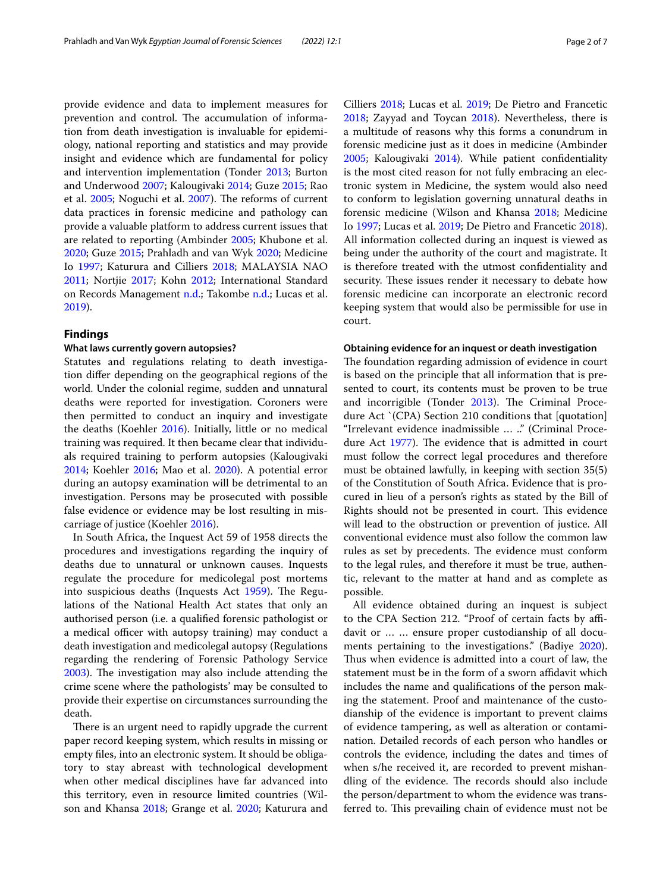provide evidence and data to implement measures for prevention and control. The accumulation of information from death investigation is invaluable for epidemiology, national reporting and statistics and may provide insight and evidence which are fundamental for policy and intervention implementation (Tonder [2013;](#page-6-3) Burton and Underwood [2007;](#page-5-2) Kalougivaki [2014](#page-6-4); Guze [2015;](#page-5-3) Rao et al. [2005;](#page-6-5) Noguchi et al. [2007\)](#page-6-6). The reforms of current data practices in forensic medicine and pathology can provide a valuable platform to address current issues that are related to reporting (Ambinder [2005;](#page-5-0) Khubone et al. [2020](#page-6-2); Guze [2015](#page-5-3); Prahladh and van Wyk [2020;](#page-6-7) Medicine Io [1997;](#page-6-8) Katurura and Cilliers [2018;](#page-6-9) MALAYSIA NAO [2011](#page-6-10); Nortjie [2017](#page-6-11); Kohn [2012](#page-6-12); International Standard on Records Management [n.d.;](#page-6-13) Takombe [n.d.](#page-6-14); Lucas et al. [2019](#page-6-15)).

## **Findings**

## **What laws currently govern autopsies?**

Statutes and regulations relating to death investigation difer depending on the geographical regions of the world. Under the colonial regime, sudden and unnatural deaths were reported for investigation. Coroners were then permitted to conduct an inquiry and investigate the deaths (Koehler [2016\)](#page-6-16). Initially, little or no medical training was required. It then became clear that individuals required training to perform autopsies (Kalougivaki [2014](#page-6-4); Koehler [2016;](#page-6-16) Mao et al. [2020\)](#page-6-17). A potential error during an autopsy examination will be detrimental to an investigation. Persons may be prosecuted with possible false evidence or evidence may be lost resulting in miscarriage of justice (Koehler [2016](#page-6-16)).

In South Africa, the Inquest Act 59 of 1958 directs the procedures and investigations regarding the inquiry of deaths due to unnatural or unknown causes. Inquests regulate the procedure for medicolegal post mortems into suspicious deaths (Inquests Act [1959](#page-6-18)). The Regulations of the National Health Act states that only an authorised person (i.e. a qualifed forensic pathologist or a medical officer with autopsy training) may conduct a death investigation and medicolegal autopsy (Regulations regarding the rendering of Forensic Pathology Service [2003](#page-6-19)). The investigation may also include attending the crime scene where the pathologists' may be consulted to provide their expertise on circumstances surrounding the death.

There is an urgent need to rapidly upgrade the current paper record keeping system, which results in missing or empty fles, into an electronic system. It should be obligatory to stay abreast with technological development when other medical disciplines have far advanced into this territory, even in resource limited countries (Wilson and Khansa [2018;](#page-6-1) Grange et al. [2020](#page-5-1); Katurura and

Cilliers [2018;](#page-6-9) Lucas et al. [2019](#page-6-15); De Pietro and Francetic [2018](#page-5-4); Zayyad and Toycan [2018\)](#page-6-20). Nevertheless, there is a multitude of reasons why this forms a conundrum in forensic medicine just as it does in medicine (Ambinder [2005](#page-5-0); Kalougivaki [2014](#page-6-4)). While patient confdentiality is the most cited reason for not fully embracing an electronic system in Medicine, the system would also need to conform to legislation governing unnatural deaths in forensic medicine (Wilson and Khansa [2018;](#page-6-1) Medicine Io [1997](#page-6-8); Lucas et al. [2019;](#page-6-15) De Pietro and Francetic [2018](#page-5-4)). All information collected during an inquest is viewed as being under the authority of the court and magistrate. It is therefore treated with the utmost confdentiality and security. These issues render it necessary to debate how forensic medicine can incorporate an electronic record keeping system that would also be permissible for use in court.

## **Obtaining evidence for an inquest or death investigation**

The foundation regarding admission of evidence in court is based on the principle that all information that is presented to court, its contents must be proven to be true and incorrigible (Tonder  $2013$ ). The Criminal Procedure Act `(CPA) Section 210 conditions that [quotation] "Irrelevant evidence inadmissible … .." (Criminal Proce-dure Act [1977](#page-5-5)). The evidence that is admitted in court must follow the correct legal procedures and therefore must be obtained lawfully, in keeping with section 35(5) of the Constitution of South Africa. Evidence that is procured in lieu of a person's rights as stated by the Bill of Rights should not be presented in court. This evidence will lead to the obstruction or prevention of justice. All conventional evidence must also follow the common law rules as set by precedents. The evidence must conform to the legal rules, and therefore it must be true, authentic, relevant to the matter at hand and as complete as possible.

All evidence obtained during an inquest is subject to the CPA Section 212. "Proof of certain facts by affidavit or … … ensure proper custodianship of all documents pertaining to the investigations." (Badiye [2020](#page-5-6)). Thus when evidence is admitted into a court of law, the statement must be in the form of a sworn affidavit which includes the name and qualifcations of the person making the statement. Proof and maintenance of the custodianship of the evidence is important to prevent claims of evidence tampering, as well as alteration or contamination. Detailed records of each person who handles or controls the evidence, including the dates and times of when s/he received it, are recorded to prevent mishandling of the evidence. The records should also include the person/department to whom the evidence was transferred to. This prevailing chain of evidence must not be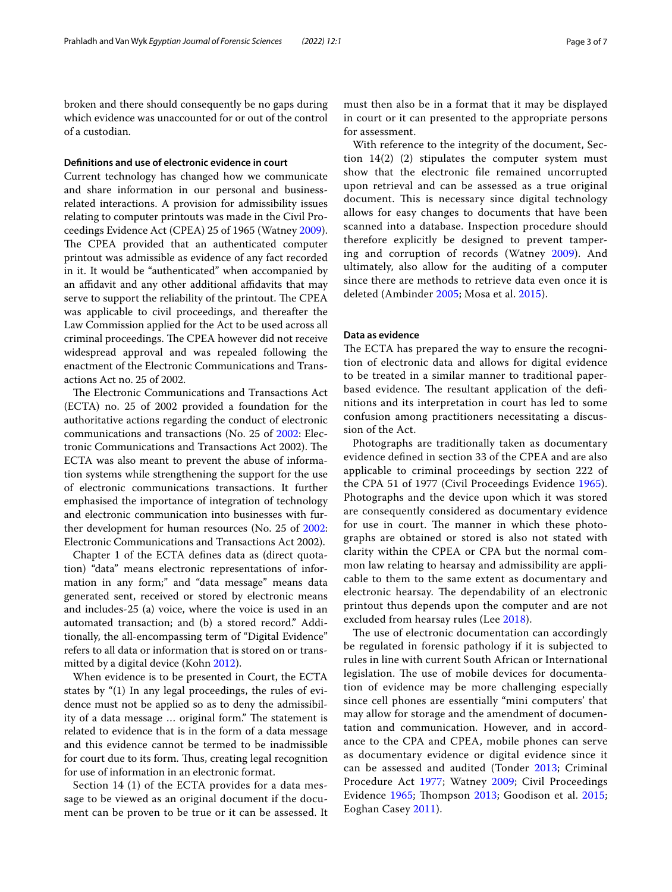broken and there should consequently be no gaps during which evidence was unaccounted for or out of the control of a custodian.

#### **Defnitions and use of electronic evidence in court**

Current technology has changed how we communicate and share information in our personal and businessrelated interactions. A provision for admissibility issues relating to computer printouts was made in the Civil Proceedings Evidence Act (CPEA) 25 of 1965 (Watney [2009](#page-6-21)). The CPEA provided that an authenticated computer printout was admissible as evidence of any fact recorded in it. It would be "authenticated" when accompanied by an affidavit and any other additional affidavits that may serve to support the reliability of the printout. The CPEA was applicable to civil proceedings, and thereafter the Law Commission applied for the Act to be used across all criminal proceedings. The CPEA however did not receive widespread approval and was repealed following the enactment of the Electronic Communications and Transactions Act no. 25 of 2002.

The Electronic Communications and Transactions Act (ECTA) no. 25 of 2002 provided a foundation for the authoritative actions regarding the conduct of electronic communications and transactions (No. 25 of [2002:](#page-6-22) Electronic Communications and Transactions Act 2002). The ECTA was also meant to prevent the abuse of information systems while strengthening the support for the use of electronic communications transactions. It further emphasised the importance of integration of technology and electronic communication into businesses with further development for human resources (No. 25 of [2002](#page-6-22): Electronic Communications and Transactions Act 2002).

Chapter 1 of the ECTA defnes data as (direct quotation) "data" means electronic representations of information in any form;" and "data message" means data generated sent, received or stored by electronic means and includes-25 (a) voice, where the voice is used in an automated transaction; and (b) a stored record." Additionally, the all-encompassing term of "Digital Evidence" refers to all data or information that is stored on or transmitted by a digital device (Kohn [2012\)](#page-6-12).

When evidence is to be presented in Court, the ECTA states by "(1) In any legal proceedings, the rules of evidence must not be applied so as to deny the admissibility of a data message ... original form." The statement is related to evidence that is in the form of a data message and this evidence cannot be termed to be inadmissible for court due to its form. Thus, creating legal recognition for use of information in an electronic format.

Section 14 (1) of the ECTA provides for a data message to be viewed as an original document if the document can be proven to be true or it can be assessed. It must then also be in a format that it may be displayed in court or it can presented to the appropriate persons for assessment.

With reference to the integrity of the document, Section  $14(2)$  (2) stipulates the computer system must show that the electronic fle remained uncorrupted upon retrieval and can be assessed as a true original document. This is necessary since digital technology allows for easy changes to documents that have been scanned into a database. Inspection procedure should therefore explicitly be designed to prevent tampering and corruption of records (Watney [2009](#page-6-21)). And ultimately, also allow for the auditing of a computer since there are methods to retrieve data even once it is deleted (Ambinder [2005;](#page-5-0) Mosa et al. [2015](#page-6-0)).

## **Data as evidence**

The ECTA has prepared the way to ensure the recognition of electronic data and allows for digital evidence to be treated in a similar manner to traditional paperbased evidence. The resultant application of the definitions and its interpretation in court has led to some confusion among practitioners necessitating a discussion of the Act.

Photographs are traditionally taken as documentary evidence defned in section 33 of the CPEA and are also applicable to criminal proceedings by section 222 of the CPA 51 of 1977 (Civil Proceedings Evidence [1965\)](#page-5-7). Photographs and the device upon which it was stored are consequently considered as documentary evidence for use in court. The manner in which these photographs are obtained or stored is also not stated with clarity within the CPEA or CPA but the normal common law relating to hearsay and admissibility are applicable to them to the same extent as documentary and electronic hearsay. The dependability of an electronic printout thus depends upon the computer and are not excluded from hearsay rules (Lee [2018](#page-6-23)).

The use of electronic documentation can accordingly be regulated in forensic pathology if it is subjected to rules in line with current South African or International legislation. The use of mobile devices for documentation of evidence may be more challenging especially since cell phones are essentially "mini computers' that may allow for storage and the amendment of documentation and communication. However, and in accordance to the CPA and CPEA, mobile phones can serve as documentary evidence or digital evidence since it can be assessed and audited (Tonder [2013](#page-6-3); Criminal Procedure Act [1977](#page-5-5); Watney [2009](#page-6-21); Civil Proceedings Evidence  $1965$ ; Thompson [2013;](#page-6-24) Goodison et al. [2015](#page-5-8); Eoghan Casey [2011\)](#page-5-9).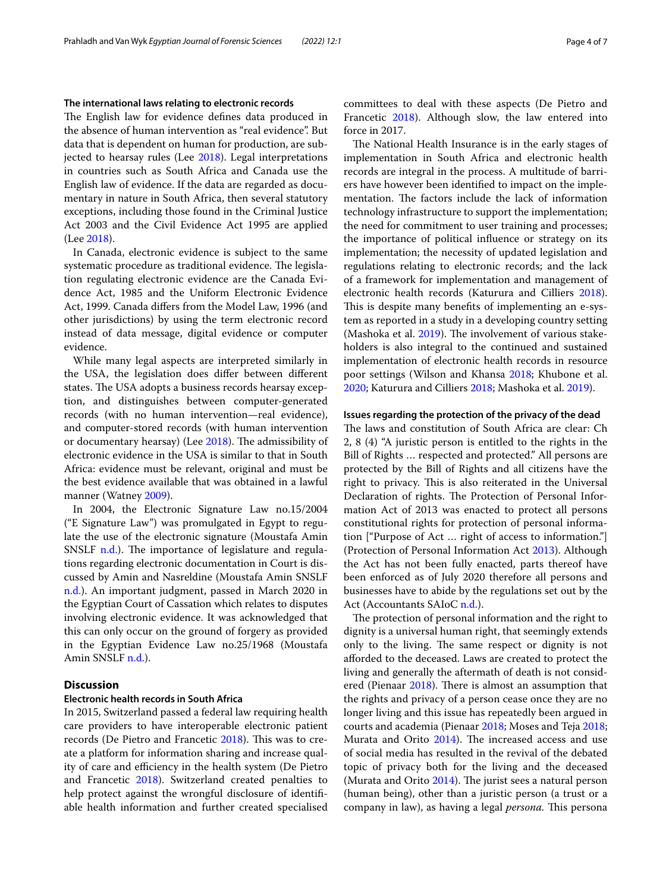### **The international laws relating to electronic records**

The English law for evidence defines data produced in the absence of human intervention as "real evidence". But data that is dependent on human for production, are subjected to hearsay rules (Lee [2018](#page-6-23)). Legal interpretations in countries such as South Africa and Canada use the English law of evidence. If the data are regarded as documentary in nature in South Africa, then several statutory exceptions, including those found in the Criminal Justice Act 2003 and the Civil Evidence Act 1995 are applied (Lee [2018](#page-6-23)).

In Canada, electronic evidence is subject to the same systematic procedure as traditional evidence. The legislation regulating electronic evidence are the Canada Evidence Act, 1985 and the Uniform Electronic Evidence Act, 1999. Canada difers from the Model Law, 1996 (and other jurisdictions) by using the term electronic record instead of data message, digital evidence or computer evidence.

While many legal aspects are interpreted similarly in the USA, the legislation does difer between diferent states. The USA adopts a business records hearsay exception, and distinguishes between computer-generated records (with no human intervention—real evidence), and computer-stored records (with human intervention or documentary hearsay) (Lee [2018](#page-6-23)). The admissibility of electronic evidence in the USA is similar to that in South Africa: evidence must be relevant, original and must be the best evidence available that was obtained in a lawful manner (Watney [2009\)](#page-6-21).

In 2004, the Electronic Signature Law no.15/2004 ("E Signature Law") was promulgated in Egypt to regulate the use of the electronic signature (Moustafa Amin SNSLF  $n.d.$ ). The importance of legislature and regulations regarding electronic documentation in Court is discussed by Amin and Nasreldine (Moustafa Amin SNSLF [n.d.\)](#page-6-25). An important judgment, passed in March 2020 in the Egyptian Court of Cassation which relates to disputes involving electronic evidence. It was acknowledged that this can only occur on the ground of forgery as provided in the Egyptian Evidence Law no.25/1968 (Moustafa Amin SNSLF [n.d.](#page-6-25)).

## **Discussion**

#### **Electronic health records in South Africa**

In 2015, Switzerland passed a federal law requiring health care providers to have interoperable electronic patient records (De Pietro and Francetic [2018](#page-5-4)). This was to create a platform for information sharing and increase quality of care and efficiency in the health system (De Pietro and Francetic [2018](#page-5-4)). Switzerland created penalties to help protect against the wrongful disclosure of identifiable health information and further created specialised committees to deal with these aspects (De Pietro and Francetic [2018\)](#page-5-4). Although slow, the law entered into force in 2017.

The National Health Insurance is in the early stages of implementation in South Africa and electronic health records are integral in the process. A multitude of barriers have however been identifed to impact on the implementation. The factors include the lack of information technology infrastructure to support the implementation; the need for commitment to user training and processes; the importance of political infuence or strategy on its implementation; the necessity of updated legislation and regulations relating to electronic records; and the lack of a framework for implementation and management of electronic health records (Katurura and Cilliers [2018](#page-6-9)). This is despite many benefits of implementing an e-system as reported in a study in a developing country setting (Mashoka et al.  $2019$ ). The involvement of various stakeholders is also integral to the continued and sustained implementation of electronic health records in resource poor settings (Wilson and Khansa [2018](#page-6-1); Khubone et al. [2020](#page-6-2); Katurura and Cilliers [2018;](#page-6-9) Mashoka et al. [2019](#page-6-26)).

#### **Issues regarding the protection of the privacy of the dead**

The laws and constitution of South Africa are clear: Ch 2, 8 (4) "A juristic person is entitled to the rights in the Bill of Rights … respected and protected." All persons are protected by the Bill of Rights and all citizens have the right to privacy. This is also reiterated in the Universal Declaration of rights. The Protection of Personal Information Act of 2013 was enacted to protect all persons constitutional rights for protection of personal information ["Purpose of Act … right of access to information."] (Protection of Personal Information Act [2013\)](#page-6-27). Although the Act has not been fully enacted, parts thereof have been enforced as of July 2020 therefore all persons and businesses have to abide by the regulations set out by the Act (Accountants SAIoC [n.d.](#page-5-10)).

The protection of personal information and the right to dignity is a universal human right, that seemingly extends only to the living. The same respect or dignity is not aforded to the deceased. Laws are created to protect the living and generally the aftermath of death is not consid-ered (Pienaar [2018\)](#page-6-28). There is almost an assumption that the rights and privacy of a person cease once they are no longer living and this issue has repeatedly been argued in courts and academia (Pienaar [2018;](#page-6-28) Moses and Teja [2018](#page-6-29); Murata and Orito [2014](#page-6-30)). The increased access and use of social media has resulted in the revival of the debated topic of privacy both for the living and the deceased (Murata and Orito  $2014$ ). The jurist sees a natural person (human being), other than a juristic person (a trust or a company in law), as having a legal *persona*. This persona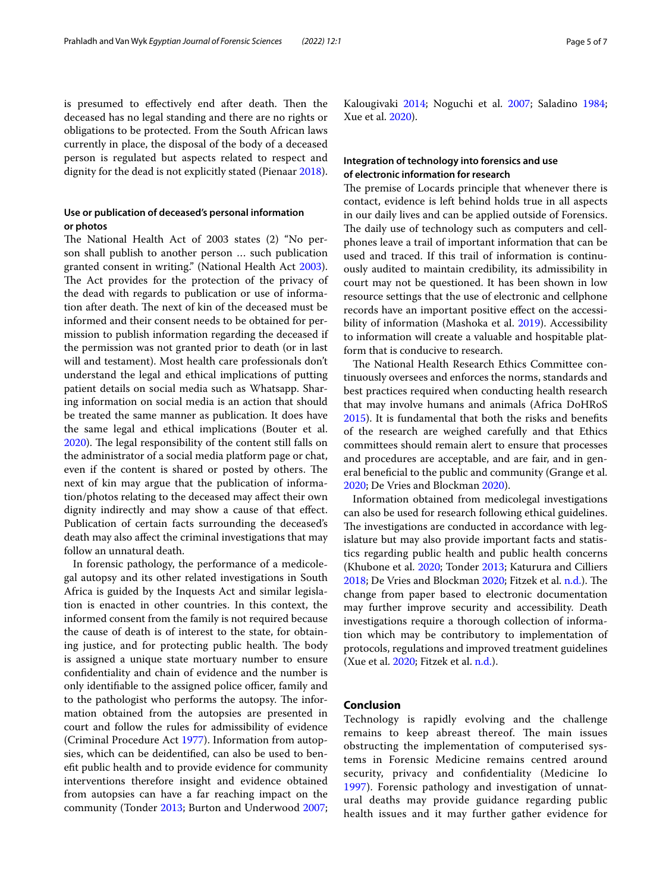is presumed to effectively end after death. Then the deceased has no legal standing and there are no rights or obligations to be protected. From the South African laws currently in place, the disposal of the body of a deceased person is regulated but aspects related to respect and dignity for the dead is not explicitly stated (Pienaar [2018](#page-6-28)).

## **Use or publication of deceased's personal information or photos**

The National Health Act of 2003 states (2) "No person shall publish to another person … such publication granted consent in writing." (National Health Act [2003](#page-6-31)). The Act provides for the protection of the privacy of the dead with regards to publication or use of information after death. The next of kin of the deceased must be informed and their consent needs to be obtained for permission to publish information regarding the deceased if the permission was not granted prior to death (or in last will and testament). Most health care professionals don't understand the legal and ethical implications of putting patient details on social media such as Whatsapp. Sharing information on social media is an action that should be treated the same manner as publication. It does have the same legal and ethical implications (Bouter et al. [2020](#page-5-11)). The legal responsibility of the content still falls on the administrator of a social media platform page or chat, even if the content is shared or posted by others. The next of kin may argue that the publication of information/photos relating to the deceased may afect their own dignity indirectly and may show a cause of that efect. Publication of certain facts surrounding the deceased's death may also afect the criminal investigations that may follow an unnatural death.

In forensic pathology, the performance of a medicolegal autopsy and its other related investigations in South Africa is guided by the Inquests Act and similar legislation is enacted in other countries. In this context, the informed consent from the family is not required because the cause of death is of interest to the state, for obtaining justice, and for protecting public health. The body is assigned a unique state mortuary number to ensure confdentiality and chain of evidence and the number is only identifiable to the assigned police officer, family and to the pathologist who performs the autopsy. The information obtained from the autopsies are presented in court and follow the rules for admissibility of evidence (Criminal Procedure Act [1977\)](#page-5-5). Information from autopsies, which can be deidentifed, can also be used to beneft public health and to provide evidence for community interventions therefore insight and evidence obtained from autopsies can have a far reaching impact on the community (Tonder [2013](#page-6-3); Burton and Underwood [2007](#page-5-2); Kalougivaki [2014](#page-6-4); Noguchi et al. [2007](#page-6-6); Saladino [1984](#page-6-32); Xue et al. [2020\)](#page-6-33).

## **Integration of technology into forensics and use of electronic information for research**

The premise of Locards principle that whenever there is contact, evidence is left behind holds true in all aspects in our daily lives and can be applied outside of Forensics. The daily use of technology such as computers and cellphones leave a trail of important information that can be used and traced. If this trail of information is continuously audited to maintain credibility, its admissibility in court may not be questioned. It has been shown in low resource settings that the use of electronic and cellphone records have an important positive efect on the accessibility of information (Mashoka et al. [2019\)](#page-6-26). Accessibility to information will create a valuable and hospitable platform that is conducive to research.

The National Health Research Ethics Committee continuously oversees and enforces the norms, standards and best practices required when conducting health research that may involve humans and animals (Africa DoHRoS [2015](#page-5-12)). It is fundamental that both the risks and benefts of the research are weighed carefully and that Ethics committees should remain alert to ensure that processes and procedures are acceptable, and are fair, and in general benefcial to the public and community (Grange et al. [2020](#page-5-1); De Vries and Blockman [2020](#page-5-13)).

Information obtained from medicolegal investigations can also be used for research following ethical guidelines. The investigations are conducted in accordance with legislature but may also provide important facts and statistics regarding public health and public health concerns (Khubone et al. [2020](#page-6-2); Tonder [2013](#page-6-3); Katurura and Cilliers [2018](#page-6-9); De Vries and Blockman [2020](#page-5-13); Fitzek et al. [n.d.](#page-5-14)). The change from paper based to electronic documentation may further improve security and accessibility. Death investigations require a thorough collection of information which may be contributory to implementation of protocols, regulations and improved treatment guidelines (Xue et al. [2020;](#page-6-33) Fitzek et al. [n.d.](#page-5-14)).

## **Conclusion**

Technology is rapidly evolving and the challenge remains to keep abreast thereof. The main issues obstructing the implementation of computerised systems in Forensic Medicine remains centred around security, privacy and confdentiality (Medicine Io [1997\)](#page-6-8). Forensic pathology and investigation of unnatural deaths may provide guidance regarding public health issues and it may further gather evidence for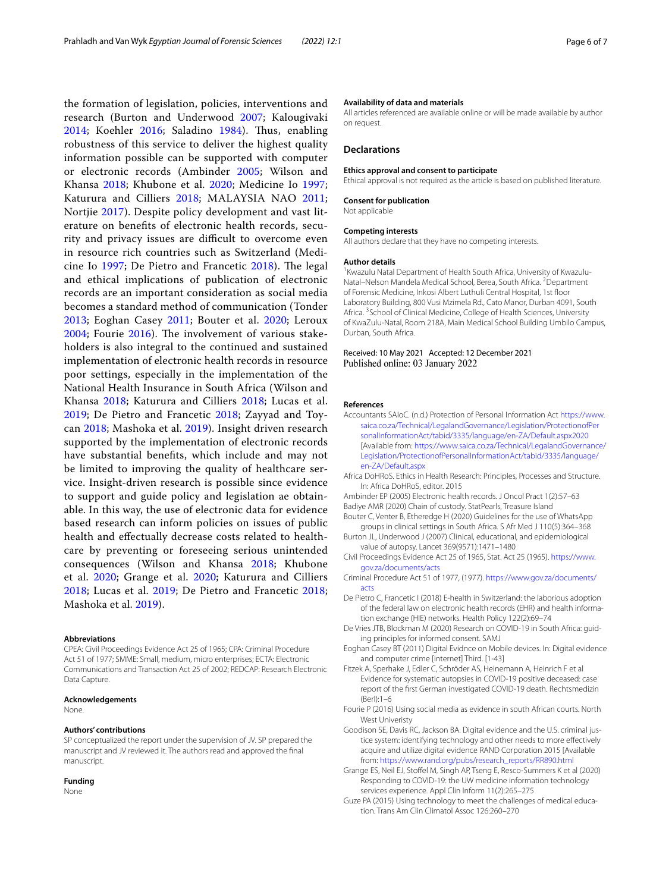the formation of legislation, policies, interventions and research (Burton and Underwood [2007](#page-5-2); Kalougivaki [2014;](#page-6-4) Koehler [2016](#page-6-16); Saladino [1984\)](#page-6-32). Thus, enabling robustness of this service to deliver the highest quality information possible can be supported with computer or electronic records (Ambinder [2005](#page-5-0); Wilson and Khansa [2018;](#page-6-1) Khubone et al. [2020;](#page-6-2) Medicine Io [1997](#page-6-8); Katurura and Cilliers [2018](#page-6-9); MALAYSIA NAO [2011](#page-6-10); Nortjie [2017](#page-6-11)). Despite policy development and vast literature on benefts of electronic health records, security and privacy issues are difficult to overcome even in resource rich countries such as Switzerland (Medicine Io  $1997$ ; De Pietro and Francetic  $2018$ ). The legal and ethical implications of publication of electronic records are an important consideration as social media becomes a standard method of communication (Tonder [2013;](#page-6-3) Eoghan Casey [2011;](#page-5-9) Bouter et al. [2020](#page-5-11); Leroux  $2004$ ; Fourie  $2016$ ). The involvement of various stakeholders is also integral to the continued and sustained implementation of electronic health records in resource poor settings, especially in the implementation of the National Health Insurance in South Africa (Wilson and Khansa [2018;](#page-6-1) Katurura and Cilliers [2018](#page-6-9); Lucas et al. [2019;](#page-6-15) De Pietro and Francetic [2018](#page-5-4); Zayyad and Toycan [2018;](#page-6-20) Mashoka et al. [2019](#page-6-26)). Insight driven research supported by the implementation of electronic records have substantial benefts, which include and may not be limited to improving the quality of healthcare service. Insight-driven research is possible since evidence to support and guide policy and legislation ae obtainable. In this way, the use of electronic data for evidence based research can inform policies on issues of public health and efectually decrease costs related to healthcare by preventing or foreseeing serious unintended consequences (Wilson and Khansa [2018;](#page-6-1) Khubone et al. [2020](#page-6-2); Grange et al. [2020;](#page-5-1) Katurura and Cilliers [2018;](#page-6-9) Lucas et al. [2019;](#page-6-15) De Pietro and Francetic [2018](#page-5-4); Mashoka et al. [2019](#page-6-26)).

#### **Abbreviations**

CPEA: Civil Proceedings Evidence Act 25 of 1965; CPA: Criminal Procedure Act 51 of 1977; SMME: Small, medium, micro enterprises; ECTA: Electronic Communications and Transaction Act 25 of 2002; REDCAP: Research Electronic Data Capture.

## **Acknowledgements**

None.

#### **Authors' contributions**

SP conceptualized the report under the supervision of JV. SP prepared the manuscript and JV reviewed it. The authors read and approved the fnal manuscript.

### **Funding**

None

#### **Availability of data and materials**

All articles referenced are available online or will be made available by author on request.

#### **Declarations**

#### **Ethics approval and consent to participate**

Ethical approval is not required as the article is based on published literature.

#### **Consent for publication**

Not applicable

#### **Competing interests**

All authors declare that they have no competing interests.

#### **Author details**

<sup>1</sup> Kwazulu Natal Department of Health South Africa, University of Kwazulu-Natal-Nelson Mandela Medical School, Berea, South Africa. <sup>2</sup>Department of Forensic Medicine, Inkosi Albert Luthuli Central Hospital, 1st foor Laboratory Building, 800 Vusi Mzimela Rd., Cato Manor, Durban 4091, South Africa. <sup>3</sup> School of Clinical Medicine, College of Health Sciences, University of KwaZulu-Natal, Room 218A, Main Medical School Building Umbilo Campus, Durban, South Africa.

### Received: 10 May 2021 Accepted: 12 December 2021 Published online: 03 January 2022

#### **References**

- <span id="page-5-10"></span>Accountants SAIoC. (n.d.) Protection of Personal Information Act [https://www.](https://www.saica.co.za/Technical/LegalandGovernance/Legislation/ProtectionofPersonalInformationAct/tabid/3335/language/en-ZA/Default.aspx2020) [saica.co.za/Technical/LegalandGovernance/Legislation/ProtectionofPer](https://www.saica.co.za/Technical/LegalandGovernance/Legislation/ProtectionofPersonalInformationAct/tabid/3335/language/en-ZA/Default.aspx2020) [sonalInformationAct/tabid/3335/language/en-ZA/Default.aspx2020](https://www.saica.co.za/Technical/LegalandGovernance/Legislation/ProtectionofPersonalInformationAct/tabid/3335/language/en-ZA/Default.aspx2020) [Available from: [https://www.saica.co.za/Technical/LegalandGovernance/](https://www.saica.co.za/Technical/LegalandGovernance/Legislation/ProtectionofPersonalInformationAct/tabid/3335/language/en-ZA/Default.aspx) [Legislation/ProtectionofPersonalInformationAct/tabid/3335/language/](https://www.saica.co.za/Technical/LegalandGovernance/Legislation/ProtectionofPersonalInformationAct/tabid/3335/language/en-ZA/Default.aspx) [en-ZA/Default.aspx](https://www.saica.co.za/Technical/LegalandGovernance/Legislation/ProtectionofPersonalInformationAct/tabid/3335/language/en-ZA/Default.aspx)
- <span id="page-5-12"></span>Africa DoHRoS. Ethics in Health Research: Principles, Processes and Structure. In: Africa DoHRoS, editor. 2015
- <span id="page-5-6"></span><span id="page-5-0"></span>Ambinder EP (2005) Electronic health records. J Oncol Pract 1(2):57–63 Badiye AMR (2020) Chain of custody. StatPearls, Treasure Island
- <span id="page-5-11"></span>Bouter C, Venter B, Etheredge H (2020) Guidelines for the use of WhatsApp groups in clinical settings in South Africa. S Afr Med J 110(5):364–368
- <span id="page-5-2"></span>Burton JL, Underwood J (2007) Clinical, educational, and epidemiological value of autopsy. Lancet 369(9571):1471–1480
- <span id="page-5-7"></span>Civil Proceedings Evidence Act 25 of 1965, Stat. Act 25 (1965). [https://www.](https://www.gov.za/documents/acts) [gov.za/documents/acts](https://www.gov.za/documents/acts)
- <span id="page-5-5"></span>Criminal Procedure Act 51 of 1977, (1977). [https://www.gov.za/documents/](https://www.gov.za/documents/acts) [acts](https://www.gov.za/documents/acts)
- <span id="page-5-4"></span>De Pietro C, Francetic I (2018) E-health in Switzerland: the laborious adoption of the federal law on electronic health records (EHR) and health information exchange (HIE) networks. Health Policy 122(2):69–74
- <span id="page-5-13"></span>De Vries JTB, Blockman M (2020) Research on COVID-19 in South Africa: guiding principles for informed consent. SAMJ
- <span id="page-5-9"></span>Eoghan Casey BT (2011) Digital Evidnce on Mobile devices. In: Digital evidence and computer crime [internet] Third. [1-43]
- <span id="page-5-14"></span>Fitzek A, Sperhake J, Edler C, Schröder AS, Heinemann A, Heinrich F et al Evidence for systematic autopsies in COVID-19 positive deceased: case report of the frst German investigated COVID-19 death. Rechtsmedizin (Berl):1–6
- <span id="page-5-15"></span>Fourie P (2016) Using social media as evidence in south African courts. North West Univeristy
- <span id="page-5-8"></span>Goodison SE, Davis RC, Jackson BA. Digital evidence and the U.S. criminal justice system: identifying technology and other needs to more efectively acquire and utilize digital evidence RAND Corporation 2015 [Available from: [https://www.rand.org/pubs/research\\_reports/RR890.html](https://www.rand.org/pubs/research_reports/RR890.html)
- <span id="page-5-1"></span>Grange ES, Neil EJ, Stofel M, Singh AP, Tseng E, Resco-Summers K et al (2020) Responding to COVID-19: the UW medicine information technology services experience. Appl Clin Inform 11(2):265–275
- <span id="page-5-3"></span>Guze PA (2015) Using technology to meet the challenges of medical education. Trans Am Clin Climatol Assoc 126:260–270